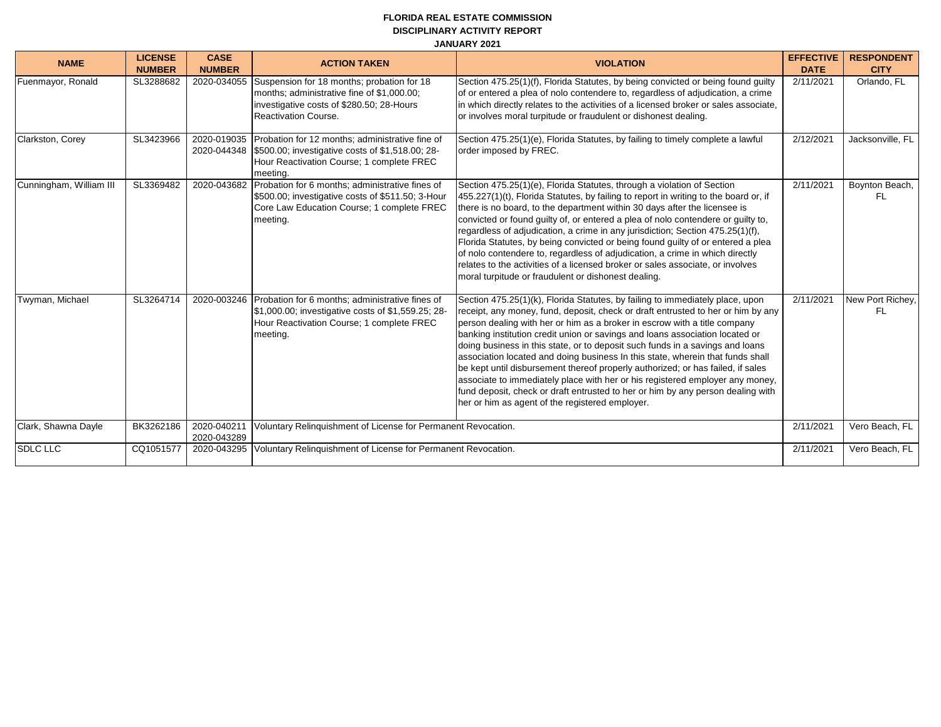## **FLORIDA REAL ESTATE COMMISSION DISCIPLINARY ACTIVITY REPORT JANUARY 2021**

| <b>NAME</b>             | <b>LICENSE</b><br><b>NUMBER</b> | <b>CASE</b><br><b>NUMBER</b> | <b>ACTION TAKEN</b>                                                                                                                                                      | <b>VIOLATION</b>                                                                                                                                                                                                                                                                                                                                                                                                                                                                                                                                                                                                                                                                                                                                                                                            | <b>EFFECTIVE</b><br><b>DATE</b> | <b>RESPONDENT</b><br><b>CITY</b> |
|-------------------------|---------------------------------|------------------------------|--------------------------------------------------------------------------------------------------------------------------------------------------------------------------|-------------------------------------------------------------------------------------------------------------------------------------------------------------------------------------------------------------------------------------------------------------------------------------------------------------------------------------------------------------------------------------------------------------------------------------------------------------------------------------------------------------------------------------------------------------------------------------------------------------------------------------------------------------------------------------------------------------------------------------------------------------------------------------------------------------|---------------------------------|----------------------------------|
| Fuenmayor, Ronald       | SL3288682                       | 2020-034055                  | Suspension for 18 months; probation for 18<br>months; administrative fine of \$1,000.00;<br>investigative costs of \$280.50; 28-Hours<br><b>Reactivation Course.</b>     | Section 475.25(1)(f), Florida Statutes, by being convicted or being found guilty<br>of or entered a plea of nolo contendere to, regardless of adjudication, a crime<br>in which directly relates to the activities of a licensed broker or sales associate,<br>or involves moral turpitude or fraudulent or dishonest dealing.                                                                                                                                                                                                                                                                                                                                                                                                                                                                              | 2/11/2021                       | Orlando, FL                      |
| Clarkston, Corey        | SL3423966                       | 2020-019035                  | Probation for 12 months; administrative fine of<br>2020-044348 \$500.00; investigative costs of \$1,518.00; 28-<br>Hour Reactivation Course; 1 complete FREC<br>meeting. | Section 475.25(1)(e), Florida Statutes, by failing to timely complete a lawful<br>order imposed by FREC.                                                                                                                                                                                                                                                                                                                                                                                                                                                                                                                                                                                                                                                                                                    | 2/12/2021                       | Jacksonville, FL                 |
| Cunningham, William III | SL3369482                       | 2020-043682                  | Probation for 6 months; administrative fines of<br>\$500.00; investigative costs of \$511.50; 3-Hour<br>Core Law Education Course; 1 complete FREC<br>meeting.           | Section 475.25(1)(e), Florida Statutes, through a violation of Section<br>455.227(1)(t), Florida Statutes, by failing to report in writing to the board or, if<br>there is no board, to the department within 30 days after the licensee is<br>convicted or found guilty of, or entered a plea of nolo contendere or guilty to,<br>regardless of adjudication, a crime in any jurisdiction; Section 475.25(1)(f),<br>Florida Statutes, by being convicted or being found guilty of or entered a plea<br>of nolo contendere to, regardless of adjudication, a crime in which directly<br>relates to the activities of a licensed broker or sales associate, or involves<br>moral turpitude or fraudulent or dishonest dealing.                                                                               | 2/11/2021                       | Boynton Beach,<br>FL.            |
| Twyman, Michael         | SL3264714                       | 2020-003246                  | Probation for 6 months; administrative fines of<br>\$1,000.00; investigative costs of \$1,559.25; 28-<br>Hour Reactivation Course; 1 complete FREC<br>meeting.           | Section 475.25(1)(k), Florida Statutes, by failing to immediately place, upon<br>receipt, any money, fund, deposit, check or draft entrusted to her or him by any<br>person dealing with her or him as a broker in escrow with a title company<br>banking institution credit union or savings and loans association located or<br>doing business in this state, or to deposit such funds in a savings and loans<br>association located and doing business In this state, wherein that funds shall<br>be kept until disbursement thereof properly authorized; or has failed, if sales<br>associate to immediately place with her or his registered employer any money,<br>fund deposit, check or draft entrusted to her or him by any person dealing with<br>her or him as agent of the registered employer. | 2/11/2021                       | New Port Richey,<br>FL.          |
| Clark, Shawna Dayle     | BK3262186                       | 2020-040211<br>2020-043289   | Voluntary Relinguishment of License for Permanent Revocation.                                                                                                            |                                                                                                                                                                                                                                                                                                                                                                                                                                                                                                                                                                                                                                                                                                                                                                                                             | 2/11/2021                       | Vero Beach, FL                   |
| <b>SDLC LLC</b>         | CQ1051577                       | 2020-043295                  | Voluntary Relinguishment of License for Permanent Revocation.                                                                                                            |                                                                                                                                                                                                                                                                                                                                                                                                                                                                                                                                                                                                                                                                                                                                                                                                             | 2/11/2021                       | Vero Beach, FL                   |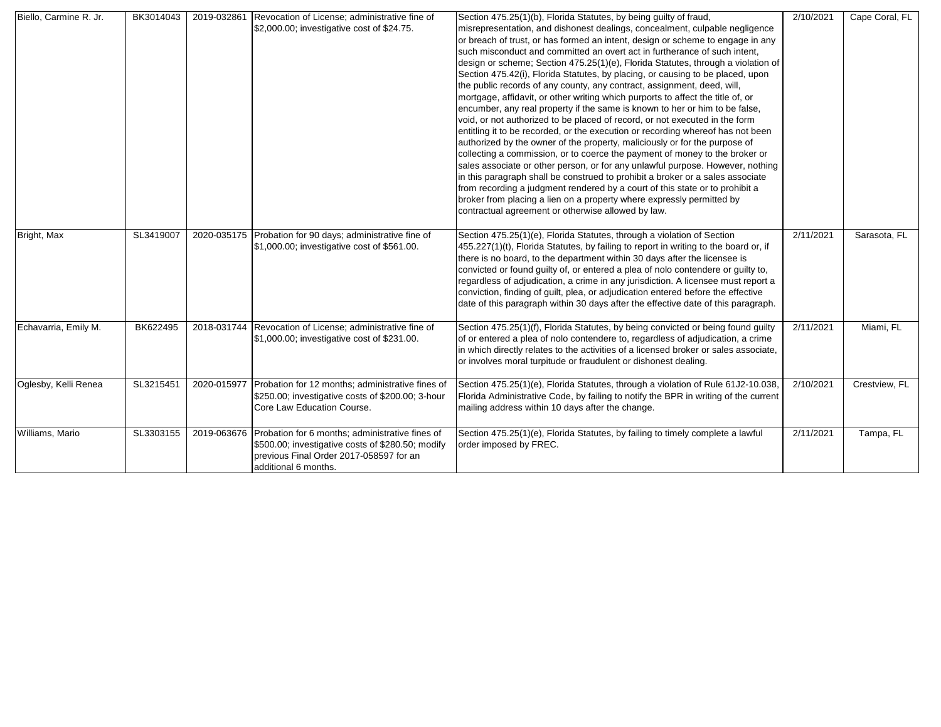| Biello, Carmine R. Jr. | BK3014043 | 2019-032861 | Revocation of License; administrative fine of<br>\$2,000.00; investigative cost of \$24.75.                                                                                         | Section 475.25(1)(b), Florida Statutes, by being guilty of fraud,<br>misrepresentation, and dishonest dealings, concealment, culpable negligence<br>or breach of trust, or has formed an intent, design or scheme to engage in any<br>such misconduct and committed an overt act in furtherance of such intent,<br>design or scheme; Section 475.25(1)(e), Florida Statutes, through a violation of<br>Section 475.42(i), Florida Statutes, by placing, or causing to be placed, upon<br>the public records of any county, any contract, assignment, deed, will,<br>mortgage, affidavit, or other writing which purports to affect the title of, or<br>encumber, any real property if the same is known to her or him to be false,<br>void, or not authorized to be placed of record, or not executed in the form<br>entitling it to be recorded, or the execution or recording whereof has not been<br>authorized by the owner of the property, maliciously or for the purpose of<br>collecting a commission, or to coerce the payment of money to the broker or<br>sales associate or other person, or for any unlawful purpose. However, nothing<br>in this paragraph shall be construed to prohibit a broker or a sales associate<br>from recording a judgment rendered by a court of this state or to prohibit a<br>broker from placing a lien on a property where expressly permitted by<br>contractual agreement or otherwise allowed by law. | 2/10/2021 | Cape Coral, FL |
|------------------------|-----------|-------------|-------------------------------------------------------------------------------------------------------------------------------------------------------------------------------------|------------------------------------------------------------------------------------------------------------------------------------------------------------------------------------------------------------------------------------------------------------------------------------------------------------------------------------------------------------------------------------------------------------------------------------------------------------------------------------------------------------------------------------------------------------------------------------------------------------------------------------------------------------------------------------------------------------------------------------------------------------------------------------------------------------------------------------------------------------------------------------------------------------------------------------------------------------------------------------------------------------------------------------------------------------------------------------------------------------------------------------------------------------------------------------------------------------------------------------------------------------------------------------------------------------------------------------------------------------------------------------------------------------------------------------------------------|-----------|----------------|
| Bright, Max            | SL3419007 |             | 2020-035175 Probation for 90 days; administrative fine of<br>\$1,000.00; investigative cost of \$561.00.                                                                            | Section 475.25(1)(e), Florida Statutes, through a violation of Section<br>455.227(1)(t), Florida Statutes, by failing to report in writing to the board or, if<br>there is no board, to the department within 30 days after the licensee is<br>convicted or found guilty of, or entered a plea of nolo contendere or guilty to,<br>regardless of adjudication, a crime in any jurisdiction. A licensee must report a<br>conviction, finding of guilt, plea, or adjudication entered before the effective<br>date of this paragraph within 30 days after the effective date of this paragraph.                                                                                                                                                                                                                                                                                                                                                                                                                                                                                                                                                                                                                                                                                                                                                                                                                                                        | 2/11/2021 | Sarasota, FL   |
| Echavarria, Emily M.   | BK622495  |             | 2018-031744 Revocation of License; administrative fine of<br>\$1,000.00; investigative cost of \$231.00.                                                                            | Section 475.25(1)(f), Florida Statutes, by being convicted or being found guilty<br>of or entered a plea of nolo contendere to, regardless of adjudication, a crime<br>in which directly relates to the activities of a licensed broker or sales associate,<br>or involves moral turpitude or fraudulent or dishonest dealing.                                                                                                                                                                                                                                                                                                                                                                                                                                                                                                                                                                                                                                                                                                                                                                                                                                                                                                                                                                                                                                                                                                                       | 2/11/2021 | Miami, FL      |
| Oglesby, Kelli Renea   | SL3215451 | 2020-015977 | Probation for 12 months; administrative fines of<br>\$250.00; investigative costs of \$200.00; 3-hour<br>Core Law Education Course.                                                 | Section 475.25(1)(e), Florida Statutes, through a violation of Rule 61J2-10.038,<br>Florida Administrative Code, by failing to notify the BPR in writing of the current<br>mailing address within 10 days after the change.                                                                                                                                                                                                                                                                                                                                                                                                                                                                                                                                                                                                                                                                                                                                                                                                                                                                                                                                                                                                                                                                                                                                                                                                                          | 2/10/2021 | Crestview, FL  |
| Williams, Mario        | SL3303155 |             | 2019-063676 Probation for 6 months; administrative fines of<br>\$500.00; investigative costs of \$280.50; modify<br>previous Final Order 2017-058597 for an<br>additional 6 months. | Section 475.25(1)(e), Florida Statutes, by failing to timely complete a lawful<br>order imposed by FREC.                                                                                                                                                                                                                                                                                                                                                                                                                                                                                                                                                                                                                                                                                                                                                                                                                                                                                                                                                                                                                                                                                                                                                                                                                                                                                                                                             | 2/11/2021 | Tampa, FL      |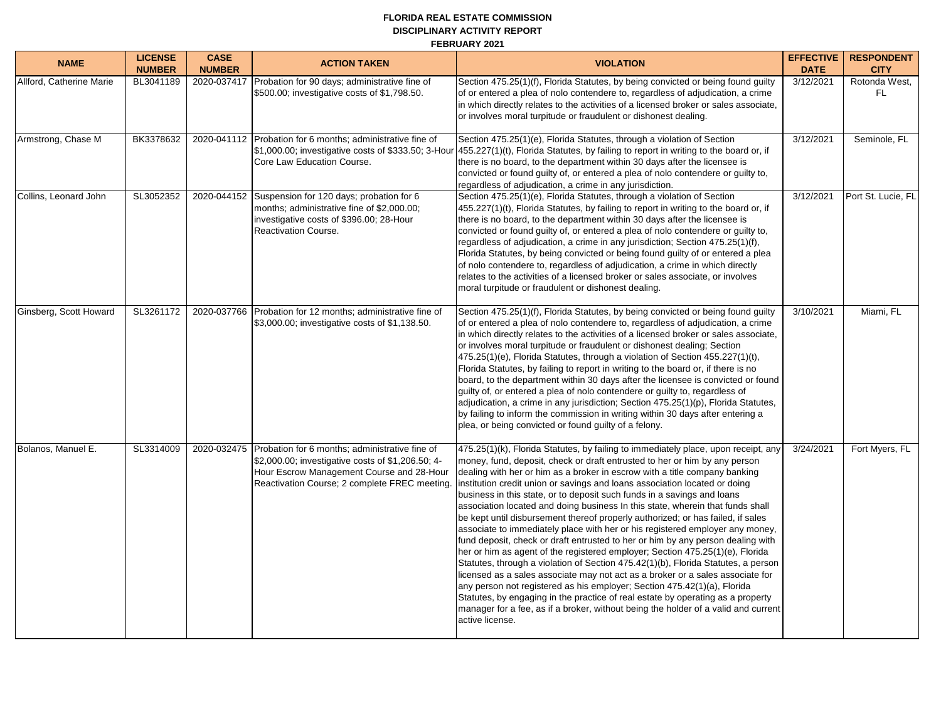#### **FLORIDA REAL ESTATE COMMISSION DISCIPLINARY ACTIVITY REPORT FEBRUARY 2021**

| <b>NAME</b>              | <b>LICENSE</b><br><b>NUMBER</b> | <b>CASE</b><br><b>NUMBER</b> | <b>ACTION TAKEN</b>                                                                                                                                                                               | <b>VIOLATION</b>                                                                                                                                                                                                                                                                                                                                                                                                                                                                                                                                                                                                                                                                                                                                                                                                                                                                                                                                                                                                                                                                                                                                                                                                                                                                 | <b>EFFECTIVE</b><br><b>DATE</b> | <b>RESPONDENT</b><br><b>CITY</b> |
|--------------------------|---------------------------------|------------------------------|---------------------------------------------------------------------------------------------------------------------------------------------------------------------------------------------------|----------------------------------------------------------------------------------------------------------------------------------------------------------------------------------------------------------------------------------------------------------------------------------------------------------------------------------------------------------------------------------------------------------------------------------------------------------------------------------------------------------------------------------------------------------------------------------------------------------------------------------------------------------------------------------------------------------------------------------------------------------------------------------------------------------------------------------------------------------------------------------------------------------------------------------------------------------------------------------------------------------------------------------------------------------------------------------------------------------------------------------------------------------------------------------------------------------------------------------------------------------------------------------|---------------------------------|----------------------------------|
| Allford, Catherine Marie | BL3041189                       | 2020-037417                  | Probation for 90 days; administrative fine of<br>\$500.00; investigative costs of \$1,798.50.                                                                                                     | Section 475.25(1)(f), Florida Statutes, by being convicted or being found guilty<br>of or entered a plea of nolo contendere to, regardless of adjudication, a crime<br>in which directly relates to the activities of a licensed broker or sales associate,<br>or involves moral turpitude or fraudulent or dishonest dealing.                                                                                                                                                                                                                                                                                                                                                                                                                                                                                                                                                                                                                                                                                                                                                                                                                                                                                                                                                   | 3/12/2021                       | Rotonda West,<br><b>FL</b>       |
| Armstrong, Chase M       | BK3378632                       |                              | 2020-041112 Probation for 6 months; administrative fine of<br>\$1,000.00; investigative costs of \$333.50; 3-Hour<br>Core Law Education Course.                                                   | Section 475.25(1)(e), Florida Statutes, through a violation of Section<br>455.227(1)(t), Florida Statutes, by failing to report in writing to the board or, if<br>there is no board, to the department within 30 days after the licensee is<br>convicted or found guilty of, or entered a plea of nolo contendere or guilty to,<br>regardless of adjudication, a crime in any jurisdiction.                                                                                                                                                                                                                                                                                                                                                                                                                                                                                                                                                                                                                                                                                                                                                                                                                                                                                      | 3/12/2021                       | Seminole, FL                     |
| Collins, Leonard John    | SL3052352                       |                              | 2020-044152 Suspension for 120 days; probation for 6<br>months; administrative fine of \$2,000.00;<br>investigative costs of \$396.00; 28-Hour<br>Reactivation Course.                            | Section 475.25(1)(e), Florida Statutes, through a violation of Section<br>455.227(1)(t), Florida Statutes, by failing to report in writing to the board or, if<br>there is no board, to the department within 30 days after the licensee is<br>convicted or found guilty of, or entered a plea of nolo contendere or guilty to,<br>regardless of adjudication, a crime in any jurisdiction; Section 475.25(1)(f),<br>Florida Statutes, by being convicted or being found guilty of or entered a plea<br>of nolo contendere to, regardless of adjudication, a crime in which directly<br>relates to the activities of a licensed broker or sales associate, or involves<br>moral turpitude or fraudulent or dishonest dealing.                                                                                                                                                                                                                                                                                                                                                                                                                                                                                                                                                    | 3/12/2021                       | Port St. Lucie, FL               |
| Ginsberg, Scott Howard   | SL3261172                       | 2020-037766                  | Probation for 12 months; administrative fine of<br>\$3,000.00; investigative costs of \$1,138.50.                                                                                                 | Section 475.25(1)(f), Florida Statutes, by being convicted or being found guilty<br>of or entered a plea of nolo contendere to, regardless of adjudication, a crime<br>in which directly relates to the activities of a licensed broker or sales associate,<br>or involves moral turpitude or fraudulent or dishonest dealing; Section<br>475.25(1)(e), Florida Statutes, through a violation of Section 455.227(1)(t),<br>Florida Statutes, by failing to report in writing to the board or, if there is no<br>board, to the department within 30 days after the licensee is convicted or found<br>guilty of, or entered a plea of nolo contendere or guilty to, regardless of<br>adjudication, a crime in any jurisdiction; Section 475.25(1)(p), Florida Statutes,<br>by failing to inform the commission in writing within 30 days after entering a<br>plea, or being convicted or found guilty of a felony.                                                                                                                                                                                                                                                                                                                                                                 | 3/10/2021                       | Miami, FL                        |
| Bolanos, Manuel E.       | SL3314009                       | 2020-032475                  | Probation for 6 months; administrative fine of<br>\$2,000.00; investigative costs of \$1,206.50; 4-<br>Hour Escrow Management Course and 28-Hour<br>Reactivation Course; 2 complete FREC meeting. | 475.25(1)(k), Florida Statutes, by failing to immediately place, upon receipt, any<br>money, fund, deposit, check or draft entrusted to her or him by any person<br>dealing with her or him as a broker in escrow with a title company banking<br>institution credit union or savings and loans association located or doing<br>business in this state, or to deposit such funds in a savings and loans<br>association located and doing business In this state, wherein that funds shall<br>be kept until disbursement thereof properly authorized; or has failed, if sales<br>associate to immediately place with her or his registered employer any money,<br>fund deposit, check or draft entrusted to her or him by any person dealing with<br>her or him as agent of the registered employer; Section 475.25(1)(e), Florida<br>Statutes, through a violation of Section 475.42(1)(b), Florida Statutes, a person<br>licensed as a sales associate may not act as a broker or a sales associate for<br>any person not registered as his employer; Section 475.42(1)(a), Florida<br>Statutes, by engaging in the practice of real estate by operating as a property<br>manager for a fee, as if a broker, without being the holder of a valid and current<br>active license. | 3/24/2021                       | Fort Myers, FL                   |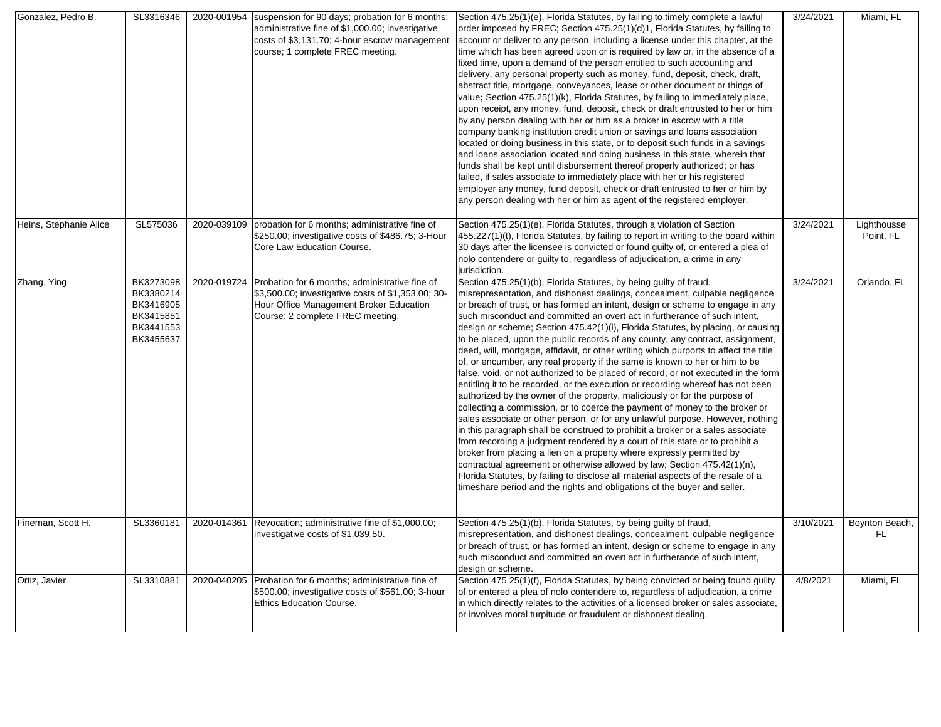| Gonzalez, Pedro B.     | SL3316346                                                                  | 2020-001954 | suspension for 90 days; probation for 6 months;<br>administrative fine of \$1,000.00; investigative<br>costs of \$3,131.70; 4-hour escrow management<br>course; 1 complete FREC meeting. | Section 475.25(1)(e), Florida Statutes, by failing to timely complete a lawful<br>order imposed by FREC; Section 475.25(1)(d)1, Florida Statutes, by failing to<br>account or deliver to any person, including a license under this chapter, at the<br>time which has been agreed upon or is required by law or, in the absence of a<br>fixed time, upon a demand of the person entitled to such accounting and<br>delivery, any personal property such as money, fund, deposit, check, draft,<br>abstract title, mortgage, conveyances, lease or other document or things of<br>value; Section 475.25(1)(k), Florida Statutes, by failing to immediately place,<br>upon receipt, any money, fund, deposit, check or draft entrusted to her or him<br>by any person dealing with her or him as a broker in escrow with a title<br>company banking institution credit union or savings and loans association<br>located or doing business in this state, or to deposit such funds in a savings<br>and loans association located and doing business In this state, wherein that<br>funds shall be kept until disbursement thereof properly authorized; or has<br>failed, if sales associate to immediately place with her or his registered<br>employer any money, fund deposit, check or draft entrusted to her or him by<br>any person dealing with her or him as agent of the registered employer.                                                                                                                                                                         | 3/24/2021 | Miami, FL                |
|------------------------|----------------------------------------------------------------------------|-------------|------------------------------------------------------------------------------------------------------------------------------------------------------------------------------------------|-----------------------------------------------------------------------------------------------------------------------------------------------------------------------------------------------------------------------------------------------------------------------------------------------------------------------------------------------------------------------------------------------------------------------------------------------------------------------------------------------------------------------------------------------------------------------------------------------------------------------------------------------------------------------------------------------------------------------------------------------------------------------------------------------------------------------------------------------------------------------------------------------------------------------------------------------------------------------------------------------------------------------------------------------------------------------------------------------------------------------------------------------------------------------------------------------------------------------------------------------------------------------------------------------------------------------------------------------------------------------------------------------------------------------------------------------------------------------------------------------------------------------------------------------------------------------------|-----------|--------------------------|
| Heins, Stephanie Alice | SL575036                                                                   | 2020-039109 | probation for 6 months; administrative fine of<br>\$250.00; investigative costs of \$486.75; 3-Hour<br>Core Law Education Course.                                                        | Section 475.25(1)(e), Florida Statutes, through a violation of Section<br>455.227(1)(t), Florida Statutes, by failing to report in writing to the board within<br>30 days after the licensee is convicted or found guilty of, or entered a plea of<br>nolo contendere or guilty to, regardless of adjudication, a crime in any<br>jurisdiction.                                                                                                                                                                                                                                                                                                                                                                                                                                                                                                                                                                                                                                                                                                                                                                                                                                                                                                                                                                                                                                                                                                                                                                                                                             | 3/24/2021 | Lighthousse<br>Point, FL |
| Zhang, Ying            | BK3273098<br>BK3380214<br>BK3416905<br>BK3415851<br>BK3441553<br>BK3455637 | 2020-019724 | Probation for 6 months; administrative fine of<br>\$3,500.00; investigative costs of \$1,353.00; 30-<br>Hour Office Management Broker Education<br>Course; 2 complete FREC meeting.      | Section 475.25(1)(b), Florida Statutes, by being guilty of fraud,<br>misrepresentation, and dishonest dealings, concealment, culpable negligence<br>or breach of trust, or has formed an intent, design or scheme to engage in any<br>such misconduct and committed an overt act in furtherance of such intent,<br>design or scheme; Section 475.42(1)(i), Florida Statutes, by placing, or causing<br>to be placed, upon the public records of any county, any contract, assignment,<br>deed, will, mortgage, affidavit, or other writing which purports to affect the title<br>of, or encumber, any real property if the same is known to her or him to be<br>false, void, or not authorized to be placed of record, or not executed in the form<br>entitling it to be recorded, or the execution or recording whereof has not been<br>authorized by the owner of the property, maliciously or for the purpose of<br>collecting a commission, or to coerce the payment of money to the broker or<br>sales associate or other person, or for any unlawful purpose. However, nothing<br>in this paragraph shall be construed to prohibit a broker or a sales associate<br>from recording a judgment rendered by a court of this state or to prohibit a<br>broker from placing a lien on a property where expressly permitted by<br>contractual agreement or otherwise allowed by law; Section 475.42(1)(n),<br>Florida Statutes, by failing to disclose all material aspects of the resale of a<br>timeshare period and the rights and obligations of the buyer and seller. | 3/24/2021 | Orlando, FL              |
| Fineman, Scott H.      | SL3360181                                                                  | 2020-014361 | Revocation; administrative fine of \$1,000.00;<br>investigative costs of \$1,039.50.                                                                                                     | Section 475.25(1)(b), Florida Statutes, by being guilty of fraud,<br>misrepresentation, and dishonest dealings, concealment, culpable negligence<br>or breach of trust, or has formed an intent, design or scheme to engage in any<br>such misconduct and committed an overt act in furtherance of such intent,<br>design or scheme.                                                                                                                                                                                                                                                                                                                                                                                                                                                                                                                                                                                                                                                                                                                                                                                                                                                                                                                                                                                                                                                                                                                                                                                                                                        | 3/10/2021 | Boynton Beach,<br>FL.    |
| Ortiz, Javier          | SL3310881                                                                  | 2020-040205 | Probation for 6 months; administrative fine of<br>\$500.00; investigative costs of \$561.00; 3-hour<br><b>Ethics Education Course.</b>                                                   | Section 475.25(1)(f), Florida Statutes, by being convicted or being found guilty<br>of or entered a plea of nolo contendere to, regardless of adjudication, a crime<br>in which directly relates to the activities of a licensed broker or sales associate,<br>or involves moral turpitude or fraudulent or dishonest dealing.                                                                                                                                                                                                                                                                                                                                                                                                                                                                                                                                                                                                                                                                                                                                                                                                                                                                                                                                                                                                                                                                                                                                                                                                                                              | 4/8/2021  | Miami, FL                |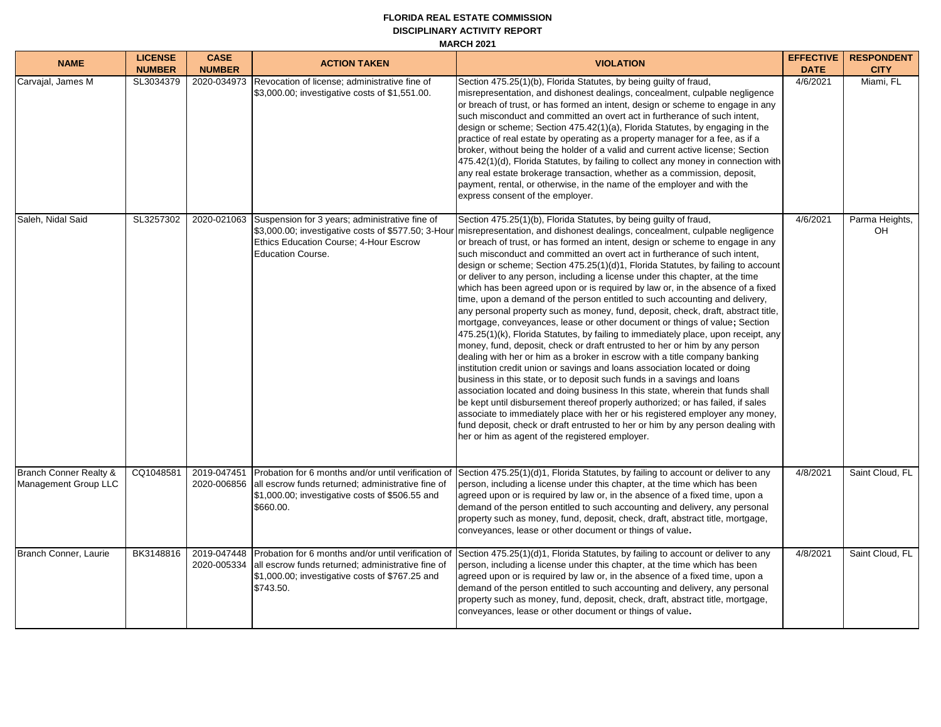## **FLORIDA REAL ESTATE COMMISSION DISCIPLINARY ACTIVITY REPORT MARCH 2021**

| <b>NAME</b>                                               | <b>LICENSE</b><br><b>NUMBER</b> | <b>CASE</b><br><b>NUMBER</b> | <b>ACTION TAKEN</b>                                                                                                                                                         | <b>VIOLATION</b>                                                                                                                                                                                                                                                                                                                                                                                                                                                                                                                                                                                                                                                                                                                                                                                                                                                                                                                                                                                                                                                                                                                                                                                                                                                                                                                                                                                                                                                                                                                                                                                                                | <b>EFFECTIVE</b><br><b>DATE</b> | <b>RESPONDENT</b><br><b>CITY</b> |
|-----------------------------------------------------------|---------------------------------|------------------------------|-----------------------------------------------------------------------------------------------------------------------------------------------------------------------------|---------------------------------------------------------------------------------------------------------------------------------------------------------------------------------------------------------------------------------------------------------------------------------------------------------------------------------------------------------------------------------------------------------------------------------------------------------------------------------------------------------------------------------------------------------------------------------------------------------------------------------------------------------------------------------------------------------------------------------------------------------------------------------------------------------------------------------------------------------------------------------------------------------------------------------------------------------------------------------------------------------------------------------------------------------------------------------------------------------------------------------------------------------------------------------------------------------------------------------------------------------------------------------------------------------------------------------------------------------------------------------------------------------------------------------------------------------------------------------------------------------------------------------------------------------------------------------------------------------------------------------|---------------------------------|----------------------------------|
| Carvajal, James M                                         | SL3034379                       | 2020-034973                  | Revocation of license; administrative fine of<br>\$3,000.00; investigative costs of \$1,551.00.                                                                             | Section 475.25(1)(b), Florida Statutes, by being guilty of fraud,<br>misrepresentation, and dishonest dealings, concealment, culpable negligence<br>or breach of trust, or has formed an intent, design or scheme to engage in any<br>such misconduct and committed an overt act in furtherance of such intent,<br>design or scheme; Section 475.42(1)(a), Florida Statutes, by engaging in the<br>practice of real estate by operating as a property manager for a fee, as if a<br>broker, without being the holder of a valid and current active license; Section<br>475.42(1)(d), Florida Statutes, by failing to collect any money in connection with<br>any real estate brokerage transaction, whether as a commission, deposit,<br>payment, rental, or otherwise, in the name of the employer and with the<br>express consent of the employer.                                                                                                                                                                                                                                                                                                                                                                                                                                                                                                                                                                                                                                                                                                                                                                            | 4/6/2021                        | Miami, FL                        |
| Saleh, Nidal Said                                         | SL3257302                       | 2020-021063                  | Suspension for 3 years; administrative fine of<br>\$3,000.00; investigative costs of \$577.50; 3-Hour<br>Ethics Education Course; 4-Hour Escrow<br><b>Education Course.</b> | Section 475.25(1)(b), Florida Statutes, by being quilty of fraud,<br>misrepresentation, and dishonest dealings, concealment, culpable negligence<br>or breach of trust, or has formed an intent, design or scheme to engage in any<br>such misconduct and committed an overt act in furtherance of such intent,<br>design or scheme; Section 475.25(1)(d)1, Florida Statutes, by failing to account<br>or deliver to any person, including a license under this chapter, at the time<br>which has been agreed upon or is required by law or, in the absence of a fixed<br>time, upon a demand of the person entitled to such accounting and delivery,<br>any personal property such as money, fund, deposit, check, draft, abstract title,<br>mortgage, conveyances, lease or other document or things of value; Section<br>475.25(1)(k), Florida Statutes, by failing to immediately place, upon receipt, any<br>money, fund, deposit, check or draft entrusted to her or him by any person<br>dealing with her or him as a broker in escrow with a title company banking<br>institution credit union or savings and loans association located or doing<br>business in this state, or to deposit such funds in a savings and loans<br>association located and doing business In this state, wherein that funds shall<br>be kept until disbursement thereof properly authorized; or has failed, if sales<br>associate to immediately place with her or his registered employer any money,<br>fund deposit, check or draft entrusted to her or him by any person dealing with<br>her or him as agent of the registered employer. | 4/6/2021                        | Parma Heights,<br>OH             |
| <b>Branch Conner Realty &amp;</b><br>Management Group LLC | CQ1048581                       | 2019-047451<br>2020-006856   | Probation for 6 months and/or until verification of<br>all escrow funds returned; administrative fine of<br>\$1,000.00; investigative costs of \$506.55 and<br>\$660.00.    | Section 475.25(1)(d)1, Florida Statutes, by failing to account or deliver to any<br>person, including a license under this chapter, at the time which has been<br>agreed upon or is required by law or, in the absence of a fixed time, upon a<br>demand of the person entitled to such accounting and delivery, any personal<br>property such as money, fund, deposit, check, draft, abstract title, mortgage,<br>conveyances, lease or other document or things of value.                                                                                                                                                                                                                                                                                                                                                                                                                                                                                                                                                                                                                                                                                                                                                                                                                                                                                                                                                                                                                                                                                                                                                     | 4/8/2021                        | Saint Cloud, FL                  |
| Branch Conner, Laurie                                     | BK3148816                       | 2019-047448<br>2020-005334   | Probation for 6 months and/or until verification of<br>all escrow funds returned; administrative fine of<br>\$1,000.00; investigative costs of \$767.25 and<br>\$743.50.    | Section 475.25(1)(d)1, Florida Statutes, by failing to account or deliver to any<br>person, including a license under this chapter, at the time which has been<br>agreed upon or is required by law or, in the absence of a fixed time, upon a<br>demand of the person entitled to such accounting and delivery, any personal<br>property such as money, fund, deposit, check, draft, abstract title, mortgage,<br>conveyances, lease or other document or things of value.                                                                                                                                                                                                                                                                                                                                                                                                                                                                                                                                                                                                                                                                                                                                                                                                                                                                                                                                                                                                                                                                                                                                                     | 4/8/2021                        | Saint Cloud, FL                  |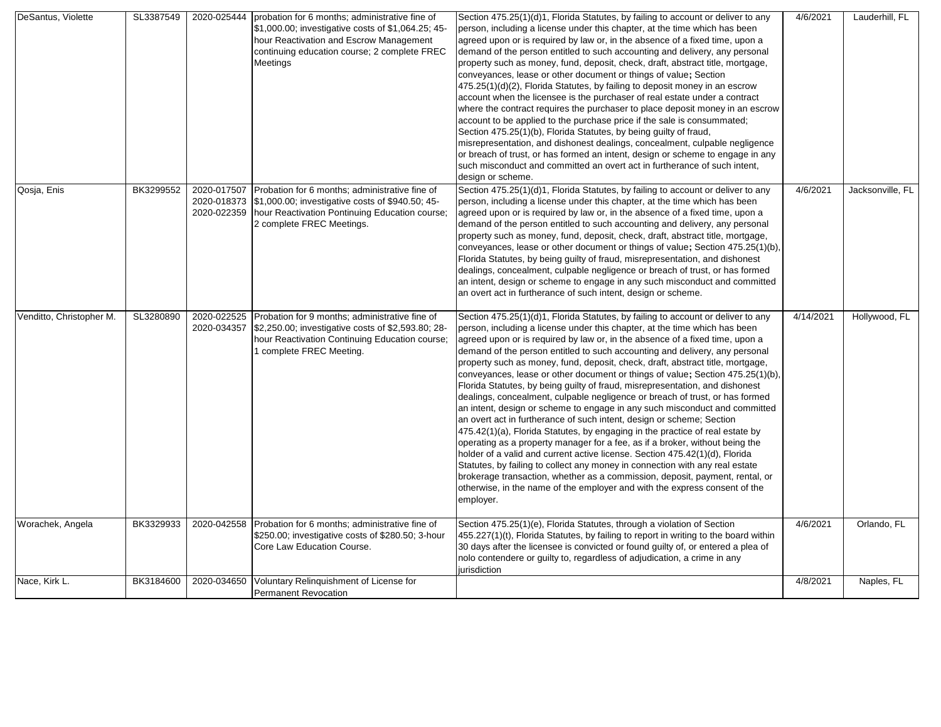| DeSantus, Violette       | SL3387549 | 2020-025444                               | probation for 6 months; administrative fine of<br>\$1,000.00; investigative costs of \$1,064.25; 45-<br>hour Reactivation and Escrow Management<br>continuing education course; 2 complete FREC<br>Meetings | Section 475.25(1)(d)1, Florida Statutes, by failing to account or deliver to any<br>person, including a license under this chapter, at the time which has been<br>agreed upon or is required by law or, in the absence of a fixed time, upon a<br>demand of the person entitled to such accounting and delivery, any personal<br>property such as money, fund, deposit, check, draft, abstract title, mortgage,<br>conveyances, lease or other document or things of value; Section<br>475.25(1)(d)(2), Florida Statutes, by failing to deposit money in an escrow<br>account when the licensee is the purchaser of real estate under a contract<br>where the contract requires the purchaser to place deposit money in an escrow<br>account to be applied to the purchase price if the sale is consummated;<br>Section 475.25(1)(b), Florida Statutes, by being guilty of fraud,<br>misrepresentation, and dishonest dealings, concealment, culpable negligence<br>or breach of trust, or has formed an intent, design or scheme to engage in any<br>such misconduct and committed an overt act in furtherance of such intent,<br>design or scheme.                                                                                                                                                                               | 4/6/2021  | Lauderhill, FL   |
|--------------------------|-----------|-------------------------------------------|-------------------------------------------------------------------------------------------------------------------------------------------------------------------------------------------------------------|------------------------------------------------------------------------------------------------------------------------------------------------------------------------------------------------------------------------------------------------------------------------------------------------------------------------------------------------------------------------------------------------------------------------------------------------------------------------------------------------------------------------------------------------------------------------------------------------------------------------------------------------------------------------------------------------------------------------------------------------------------------------------------------------------------------------------------------------------------------------------------------------------------------------------------------------------------------------------------------------------------------------------------------------------------------------------------------------------------------------------------------------------------------------------------------------------------------------------------------------------------------------------------------------------------------------------------|-----------|------------------|
| Qosja, Enis              | BK3299552 | 2020-017507<br>2020-018373<br>2020-022359 | Probation for 6 months; administrative fine of<br>\$1,000.00; investigative costs of \$940.50; 45-<br>hour Reactivation Pontinuing Education course;<br>2 complete FREC Meetings.                           | Section 475.25(1)(d)1, Florida Statutes, by failing to account or deliver to any<br>person, including a license under this chapter, at the time which has been<br>agreed upon or is required by law or, in the absence of a fixed time, upon a<br>demand of the person entitled to such accounting and delivery, any personal<br>property such as money, fund, deposit, check, draft, abstract title, mortgage,<br>conveyances, lease or other document or things of value; Section 475.25(1)(b),<br>Florida Statutes, by being guilty of fraud, misrepresentation, and dishonest<br>dealings, concealment, culpable negligence or breach of trust, or has formed<br>an intent, design or scheme to engage in any such misconduct and committed<br>an overt act in furtherance of such intent, design or scheme.                                                                                                                                                                                                                                                                                                                                                                                                                                                                                                                   | 4/6/2021  | Jacksonville, FL |
| Venditto, Christopher M. | SL3280890 | 2020-022525<br>2020-034357                | Probation for 9 months; administrative fine of<br>\$2,250.00; investigative costs of \$2,593.80; 28-<br>hour Reactivation Continuing Education course;<br>I complete FREC Meeting.                          | Section 475.25(1)(d)1, Florida Statutes, by failing to account or deliver to any<br>person, including a license under this chapter, at the time which has been<br>agreed upon or is required by law or, in the absence of a fixed time, upon a<br>demand of the person entitled to such accounting and delivery, any personal<br>property such as money, fund, deposit, check, draft, abstract title, mortgage,<br>conveyances, lease or other document or things of value; Section 475.25(1)(b)<br>Florida Statutes, by being guilty of fraud, misrepresentation, and dishonest<br>dealings, concealment, culpable negligence or breach of trust, or has formed<br>an intent, design or scheme to engage in any such misconduct and committed<br>an overt act in furtherance of such intent, design or scheme; Section<br>475.42(1)(a), Florida Statutes, by engaging in the practice of real estate by<br>operating as a property manager for a fee, as if a broker, without being the<br>holder of a valid and current active license. Section 475.42(1)(d), Florida<br>Statutes, by failing to collect any money in connection with any real estate<br>brokerage transaction, whether as a commission, deposit, payment, rental, or<br>otherwise, in the name of the employer and with the express consent of the<br>employer. | 4/14/2021 | Hollywood, FL    |
| Worachek, Angela         | BK3329933 | 2020-042558                               | Probation for 6 months; administrative fine of<br>\$250.00; investigative costs of \$280.50; 3-hour<br>Core Law Education Course.                                                                           | Section 475.25(1)(e), Florida Statutes, through a violation of Section<br>455.227(1)(t), Florida Statutes, by failing to report in writing to the board within<br>30 days after the licensee is convicted or found guilty of, or entered a plea of<br>nolo contendere or guilty to, regardless of adjudication, a crime in any<br>jurisdiction                                                                                                                                                                                                                                                                                                                                                                                                                                                                                                                                                                                                                                                                                                                                                                                                                                                                                                                                                                                     | 4/6/2021  | Orlando, FL      |
| Nace, Kirk L.            | BK3184600 | 2020-034650                               | Voluntary Relinquishment of License for<br><b>Permanent Revocation</b>                                                                                                                                      |                                                                                                                                                                                                                                                                                                                                                                                                                                                                                                                                                                                                                                                                                                                                                                                                                                                                                                                                                                                                                                                                                                                                                                                                                                                                                                                                    | 4/8/2021  | Naples, FL       |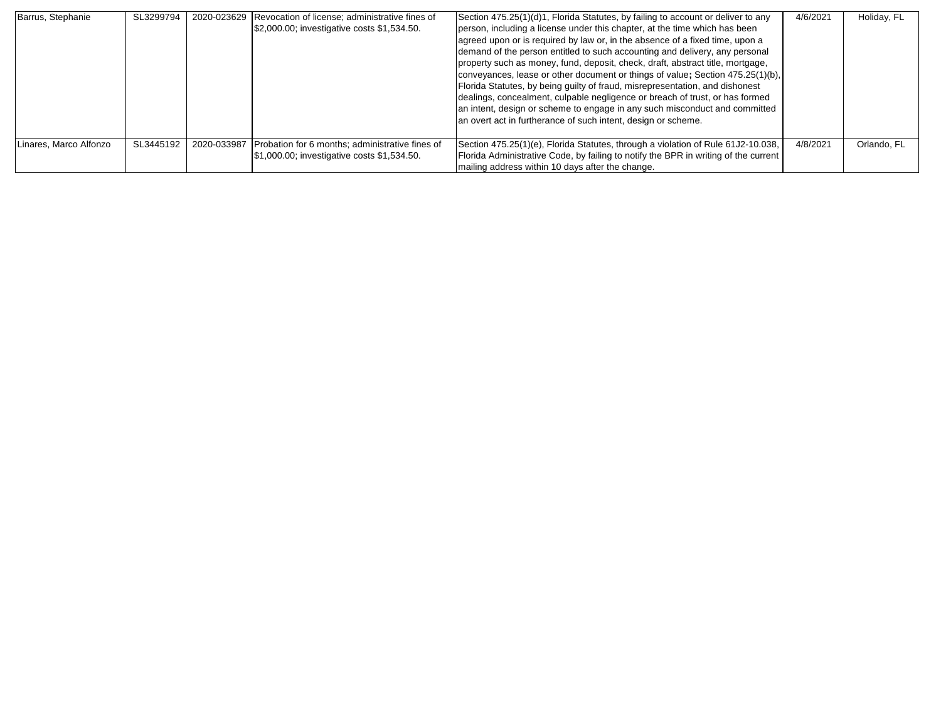| Barrus, Stephanie      | SL3299794 | 2020-023629 Revocation of license; administrative fines of<br>\$2,000.00; investigative costs \$1,534.50.  | Section 475.25(1)(d)1, Florida Statutes, by failing to account or deliver to any<br>person, including a license under this chapter, at the time which has been<br>agreed upon or is required by law or, in the absence of a fixed time, upon a<br>demand of the person entitled to such accounting and delivery, any personal<br>property such as money, fund, deposit, check, draft, abstract title, mortgage,<br>conveyances, lease or other document or things of value; Section 475.25(1)(b),<br>Florida Statutes, by being guilty of fraud, misrepresentation, and dishonest<br>dealings, concealment, culpable negligence or breach of trust, or has formed<br>an intent, design or scheme to engage in any such misconduct and committed<br>an overt act in furtherance of such intent, design or scheme. | 4/6/2021 | Holiday, FL |
|------------------------|-----------|------------------------------------------------------------------------------------------------------------|------------------------------------------------------------------------------------------------------------------------------------------------------------------------------------------------------------------------------------------------------------------------------------------------------------------------------------------------------------------------------------------------------------------------------------------------------------------------------------------------------------------------------------------------------------------------------------------------------------------------------------------------------------------------------------------------------------------------------------------------------------------------------------------------------------------|----------|-------------|
| Linares, Marco Alfonzo | SL3445192 | 2020-033987 Probation for 6 months; administrative fines of<br>\$1,000.00; investigative costs \$1,534.50. | Section 475.25(1)(e), Florida Statutes, through a violation of Rule 61J2-10.038,<br>Florida Administrative Code, by failing to notify the BPR in writing of the current<br>mailing address within 10 days after the change.                                                                                                                                                                                                                                                                                                                                                                                                                                                                                                                                                                                      | 4/8/2021 | Orlando, FL |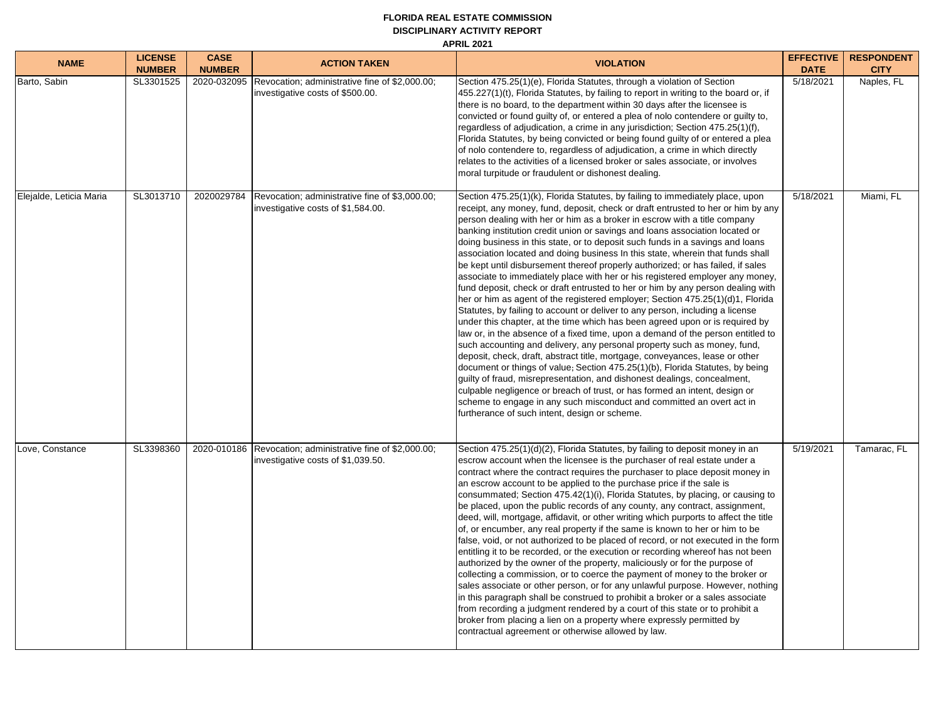#### **FLORIDA REAL ESTATE COMMISSION DISCIPLINARY ACTIVITY REPORT APRIL 2021**

**NAME LICENSE NUMBER CASE NUMBER ACTION TAKEN VIOLATION EFFECTIVE DATE RESPONDENT CITY** Barto, Sabin SL3301525 | 2020-032095 | Revocation; administrative fine of \$2,000.00; investigative costs of \$500.00. Section 475.25(1)(e), Florida Statutes, through a violation of Section 455.227(1)(t), Florida Statutes, by failing to report in writing to the board or, if there is no board, to the department within 30 days after the licensee is convicted or found guilty of, or entered a plea of nolo contendere or guilty to, regardless of adjudication, a crime in any jurisdiction; Section 475.25(1)(f), Florida Statutes, by being convicted or being found guilty of or entered a plea of nolo contendere to, regardless of adjudication, a crime in which directly relates to the activities of a licensed broker or sales associate, or involves moral turpitude or fraudulent or dishonest dealing. 5/18/2021 Naples, FL Elejalde, Leticia Maria | SL3013710 | 2020029784 | Revocation; administrative fine of \$3,000.00; investigative costs of \$1,584.00. Section 475.25(1)(k), Florida Statutes, by failing to immediately place, upon receipt, any money, fund, deposit, check or draft entrusted to her or him by any person dealing with her or him as a broker in escrow with a title company banking institution credit union or savings and loans association located or doing business in this state, or to deposit such funds in a savings and loans association located and doing business In this state, wherein that funds shall be kept until disbursement thereof properly authorized; or has failed, if sales associate to immediately place with her or his registered employer any money, fund deposit, check or draft entrusted to her or him by any person dealing with her or him as agent of the registered employer; Section 475.25(1)(d)1, Florida Statutes, by failing to account or deliver to any person, including a license under this chapter, at the time which has been agreed upon or is required by law or, in the absence of a fixed time, upon a demand of the person entitled to such accounting and delivery, any personal property such as money, fund, deposit, check, draft, abstract title, mortgage, conveyances, lease or other document or things of value**;** Section 475.25(1)(b), Florida Statutes, by being guilty of fraud, misrepresentation, and dishonest dealings, concealment, culpable negligence or breach of trust, or has formed an intent, design or scheme to engage in any such misconduct and committed an overt act in furtherance of such intent, design or scheme. 5/18/2021 Miami, FL Love, Constance SL3398360 2020-010186 Revocation; administrative fine of \$2,000.00; investigative costs of \$1,039.50. Section 475.25(1)(d)(2), Florida Statutes, by failing to deposit money in an escrow account when the licensee is the purchaser of real estate under a contract where the contract requires the purchaser to place deposit money in an escrow account to be applied to the purchase price if the sale is consummated; Section 475.42(1)(i), Florida Statutes, by placing, or causing to be placed, upon the public records of any county, any contract, assignment, deed, will, mortgage, affidavit, or other writing which purports to affect the title of, or encumber, any real property if the same is known to her or him to be false, void, or not authorized to be placed of record, or not executed in the form entitling it to be recorded, or the execution or recording whereof has not been authorized by the owner of the property, maliciously or for the purpose of collecting a commission, or to coerce the payment of money to the broker or sales associate or other person, or for any unlawful purpose. However, nothing in this paragraph shall be construed to prohibit a broker or a sales associate from recording a judgment rendered by a court of this state or to prohibit a broker from placing a lien on a property where expressly permitted by contractual agreement or otherwise allowed by law. 5/19/2021 Tamarac, FL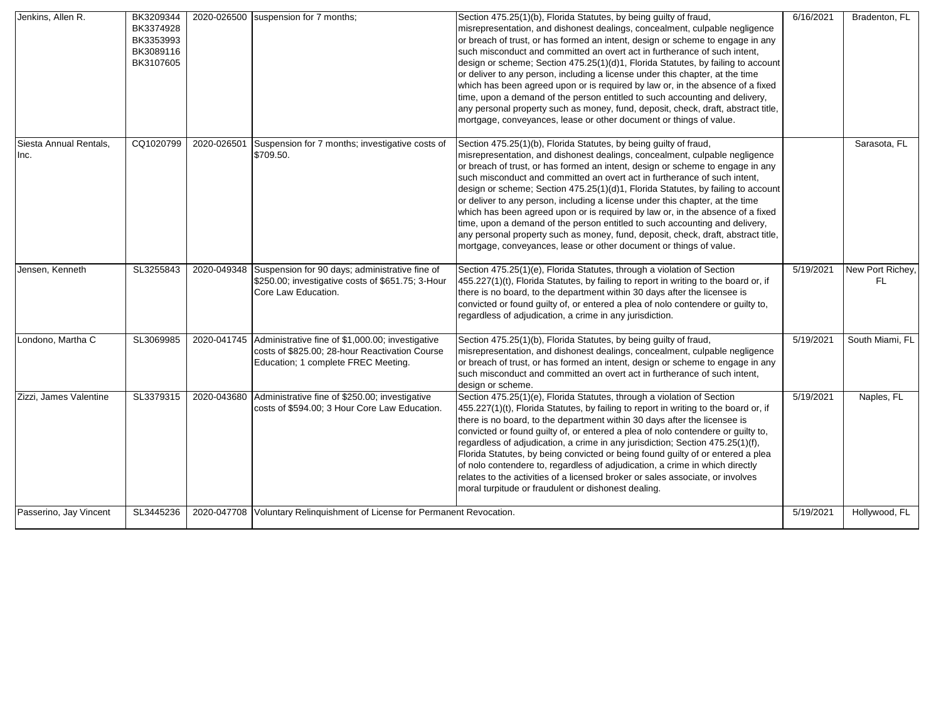| Jenkins, Allen R.              | BK3209344<br>BK3374928<br>BK3353993<br>BK3089116<br>BK3107605 |             | 2020-026500 suspension for 7 months;                                                                                                      | Section 475.25(1)(b), Florida Statutes, by being guilty of fraud,<br>misrepresentation, and dishonest dealings, concealment, culpable negligence<br>or breach of trust, or has formed an intent, design or scheme to engage in any<br>such misconduct and committed an overt act in furtherance of such intent,<br>design or scheme; Section 475.25(1)(d)1, Florida Statutes, by failing to account<br>or deliver to any person, including a license under this chapter, at the time<br>which has been agreed upon or is required by law or, in the absence of a fixed<br>time, upon a demand of the person entitled to such accounting and delivery,<br>any personal property such as money, fund, deposit, check, draft, abstract title,<br>mortgage, conveyances, lease or other document or things of value. | 6/16/2021 | Bradenton, FL          |
|--------------------------------|---------------------------------------------------------------|-------------|-------------------------------------------------------------------------------------------------------------------------------------------|------------------------------------------------------------------------------------------------------------------------------------------------------------------------------------------------------------------------------------------------------------------------------------------------------------------------------------------------------------------------------------------------------------------------------------------------------------------------------------------------------------------------------------------------------------------------------------------------------------------------------------------------------------------------------------------------------------------------------------------------------------------------------------------------------------------|-----------|------------------------|
| Siesta Annual Rentals,<br>Inc. | CQ1020799                                                     | 2020-026501 | Suspension for 7 months; investigative costs of<br>\$709.50.                                                                              | Section 475.25(1)(b), Florida Statutes, by being guilty of fraud,<br>misrepresentation, and dishonest dealings, concealment, culpable negligence<br>or breach of trust, or has formed an intent, design or scheme to engage in any<br>such misconduct and committed an overt act in furtherance of such intent,<br>design or scheme; Section 475.25(1)(d)1, Florida Statutes, by failing to account<br>or deliver to any person, including a license under this chapter, at the time<br>which has been agreed upon or is required by law or, in the absence of a fixed<br>time, upon a demand of the person entitled to such accounting and delivery,<br>any personal property such as money, fund, deposit, check, draft, abstract title,<br>mortgage, conveyances, lease or other document or things of value. |           | Sarasota, FL           |
| Jensen, Kenneth                | SL3255843                                                     | 2020-049348 | Suspension for 90 days; administrative fine of<br>\$250.00; investigative costs of \$651.75; 3-Hour<br>Core Law Education.                | Section 475.25(1)(e), Florida Statutes, through a violation of Section<br>455.227(1)(t), Florida Statutes, by failing to report in writing to the board or, if<br>there is no board, to the department within 30 days after the licensee is<br>convicted or found guilty of, or entered a plea of nolo contendere or guilty to,<br>regardless of adjudication, a crime in any jurisdiction.                                                                                                                                                                                                                                                                                                                                                                                                                      | 5/19/2021 | New Port Richey,<br>FL |
| Londono, Martha C              | SL3069985                                                     | 2020-041745 | Administrative fine of \$1,000.00; investigative<br>costs of \$825.00; 28-hour Reactivation Course<br>Education; 1 complete FREC Meeting. | Section 475.25(1)(b), Florida Statutes, by being guilty of fraud,<br>misrepresentation, and dishonest dealings, concealment, culpable negligence<br>or breach of trust, or has formed an intent, design or scheme to engage in any<br>such misconduct and committed an overt act in furtherance of such intent,<br>design or scheme.                                                                                                                                                                                                                                                                                                                                                                                                                                                                             | 5/19/2021 | South Miami, FL        |
| Zizzi, James Valentine         | SL3379315                                                     |             | 2020-043680 Administrative fine of \$250.00; investigative<br>costs of \$594.00; 3 Hour Core Law Education.                               | Section 475.25(1)(e), Florida Statutes, through a violation of Section<br>455.227(1)(t), Florida Statutes, by failing to report in writing to the board or, if<br>there is no board, to the department within 30 days after the licensee is<br>convicted or found guilty of, or entered a plea of nolo contendere or guilty to,<br>regardless of adjudication, a crime in any jurisdiction; Section 475.25(1)(f),<br>Florida Statutes, by being convicted or being found guilty of or entered a plea<br>of nolo contendere to, regardless of adjudication, a crime in which directly<br>relates to the activities of a licensed broker or sales associate, or involves<br>moral turpitude or fraudulent or dishonest dealing.                                                                                    | 5/19/2021 | Naples, FL             |
| Passerino, Jay Vincent         | SL3445236                                                     |             | 2020-047708 Voluntary Relinguishment of License for Permanent Revocation.                                                                 |                                                                                                                                                                                                                                                                                                                                                                                                                                                                                                                                                                                                                                                                                                                                                                                                                  | 5/19/2021 | Hollywood, FL          |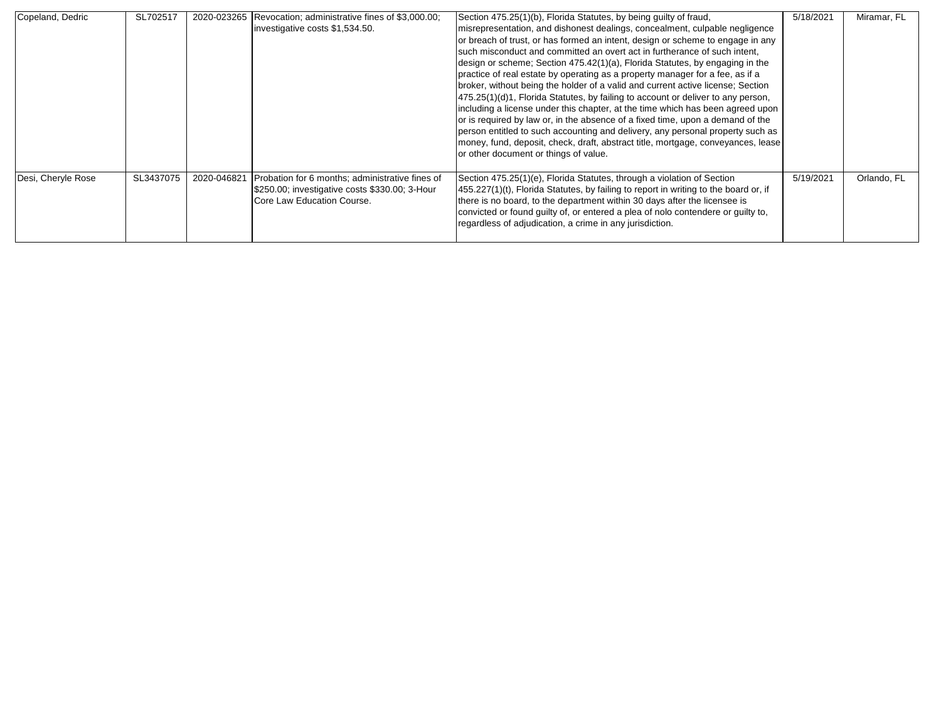| Copeland, Dedric   | SL702517  |             | 2020-023265 Revocation; administrative fines of \$3,000.00;<br>investigative costs \$1,534.50.                                  | Section 475.25(1)(b), Florida Statutes, by being guilty of fraud,<br>misrepresentation, and dishonest dealings, concealment, culpable negligence<br>or breach of trust, or has formed an intent, design or scheme to engage in any<br>such misconduct and committed an overt act in furtherance of such intent,<br>design or scheme; Section 475.42(1)(a), Florida Statutes, by engaging in the<br>practice of real estate by operating as a property manager for a fee, as if a<br>broker, without being the holder of a valid and current active license; Section<br>475.25(1)(d)1, Florida Statutes, by failing to account or deliver to any person,<br>including a license under this chapter, at the time which has been agreed upon<br>or is required by law or, in the absence of a fixed time, upon a demand of the<br>person entitled to such accounting and delivery, any personal property such as<br>money, fund, deposit, check, draft, abstract title, mortgage, conveyances, lease<br>or other document or things of value. | 5/18/2021 | Miramar, FL |
|--------------------|-----------|-------------|---------------------------------------------------------------------------------------------------------------------------------|--------------------------------------------------------------------------------------------------------------------------------------------------------------------------------------------------------------------------------------------------------------------------------------------------------------------------------------------------------------------------------------------------------------------------------------------------------------------------------------------------------------------------------------------------------------------------------------------------------------------------------------------------------------------------------------------------------------------------------------------------------------------------------------------------------------------------------------------------------------------------------------------------------------------------------------------------------------------------------------------------------------------------------------------|-----------|-------------|
| Desi, Cheryle Rose | SL3437075 | 2020-046821 | Probation for 6 months; administrative fines of<br>\$250.00; investigative costs \$330.00; 3-Hour<br>Core Law Education Course. | Section 475.25(1)(e), Florida Statutes, through a violation of Section<br>455.227(1)(t), Florida Statutes, by failing to report in writing to the board or, if<br>there is no board, to the department within 30 days after the licensee is<br>convicted or found guilty of, or entered a plea of nolo contendere or guilty to,<br>regardless of adjudication, a crime in any jurisdiction.                                                                                                                                                                                                                                                                                                                                                                                                                                                                                                                                                                                                                                                | 5/19/2021 | Orlando, FL |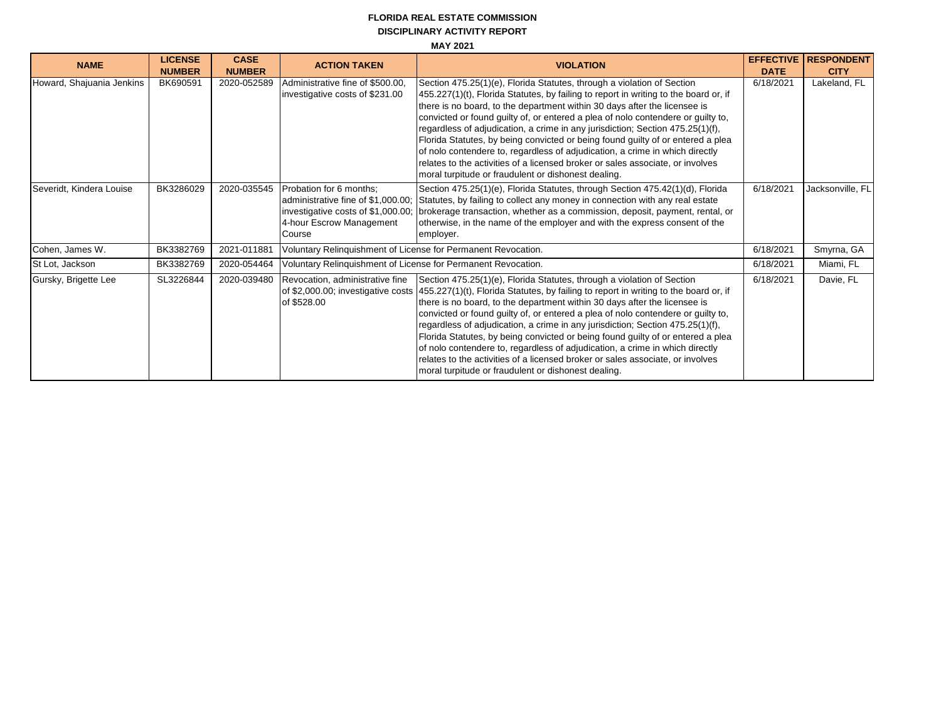## **DISCIPLINARY ACTIVITY REPORT MAY 2021 FLORIDA REAL ESTATE COMMISSION**

| <b>NAME</b>               | <b>LICENSE</b><br><b>NUMBER</b> | <b>CASE</b><br><b>NUMBER</b> | <b>ACTION TAKEN</b>                                                                                 | <b>VIOLATION</b>                                                                                                                                                                                                                                                                                                                                                                                                                                                                                                                                                                                                                                                                                                                                                  | <b>EFFECTIVE</b><br><b>DATE</b> | <b>RESPONDENT</b><br><b>CITY</b> |  |  |
|---------------------------|---------------------------------|------------------------------|-----------------------------------------------------------------------------------------------------|-------------------------------------------------------------------------------------------------------------------------------------------------------------------------------------------------------------------------------------------------------------------------------------------------------------------------------------------------------------------------------------------------------------------------------------------------------------------------------------------------------------------------------------------------------------------------------------------------------------------------------------------------------------------------------------------------------------------------------------------------------------------|---------------------------------|----------------------------------|--|--|
| Howard, Shajuania Jenkins | BK690591                        | 2020-052589                  | Administrative fine of \$500.00,<br>investigative costs of \$231.00                                 | Section 475.25(1)(e), Florida Statutes, through a violation of Section<br>455.227(1)(t), Florida Statutes, by failing to report in writing to the board or, if<br>there is no board, to the department within 30 days after the licensee is<br>convicted or found guilty of, or entered a plea of nolo contendere or guilty to,<br>regardless of adjudication, a crime in any jurisdiction; Section 475.25(1)(f),<br>Florida Statutes, by being convicted or being found guilty of or entered a plea<br>of nolo contendere to, regardless of adjudication, a crime in which directly<br>relates to the activities of a licensed broker or sales associate, or involves<br>moral turpitude or fraudulent or dishonest dealing.                                     | 6/18/2021                       | Lakeland, FL                     |  |  |
| Severidt, Kindera Louise  | BK3286029                       | 2020-035545                  | Probation for 6 months:<br>investigative costs of \$1,000.00;<br>4-hour Escrow Management<br>Course | Section 475.25(1)(e), Florida Statutes, through Section 475.42(1)(d), Florida<br>administrative fine of \$1,000.00; Statutes, by failing to collect any money in connection with any real estate<br>brokerage transaction, whether as a commission, deposit, payment, rental, or<br>otherwise, in the name of the employer and with the express consent of the<br>employer.                                                                                                                                                                                                                                                                                                                                                                                       | 6/18/2021                       | Jacksonville, FL                 |  |  |
| Cohen, James W.           | BK3382769                       | 2021-011881                  | Voluntary Relinquishment of License for Permanent Revocation.                                       |                                                                                                                                                                                                                                                                                                                                                                                                                                                                                                                                                                                                                                                                                                                                                                   | 6/18/2021                       | Smyrna, GA                       |  |  |
| St Lot, Jackson           | BK3382769                       | 2020-054464                  | Voluntary Relinquishment of License for Permanent Revocation.                                       |                                                                                                                                                                                                                                                                                                                                                                                                                                                                                                                                                                                                                                                                                                                                                                   | 6/18/2021                       | Miami, FL                        |  |  |
| Gursky, Brigette Lee      | SL3226844                       | 2020-039480                  | Revocation, administrative fine<br>of \$528.00                                                      | Section 475.25(1)(e), Florida Statutes, through a violation of Section<br>of \$2,000.00; investigative costs (455.227(1)(t), Florida Statutes, by failing to report in writing to the board or, if<br>there is no board, to the department within 30 days after the licensee is<br>convicted or found guilty of, or entered a plea of nolo contendere or guilty to,<br>regardless of adjudication, a crime in any jurisdiction; Section 475.25(1)(f),<br>Florida Statutes, by being convicted or being found guilty of or entered a plea<br>of nolo contendere to, regardless of adjudication, a crime in which directly<br>relates to the activities of a licensed broker or sales associate, or involves<br>moral turpitude or fraudulent or dishonest dealing. | 6/18/2021                       | Davie, FL                        |  |  |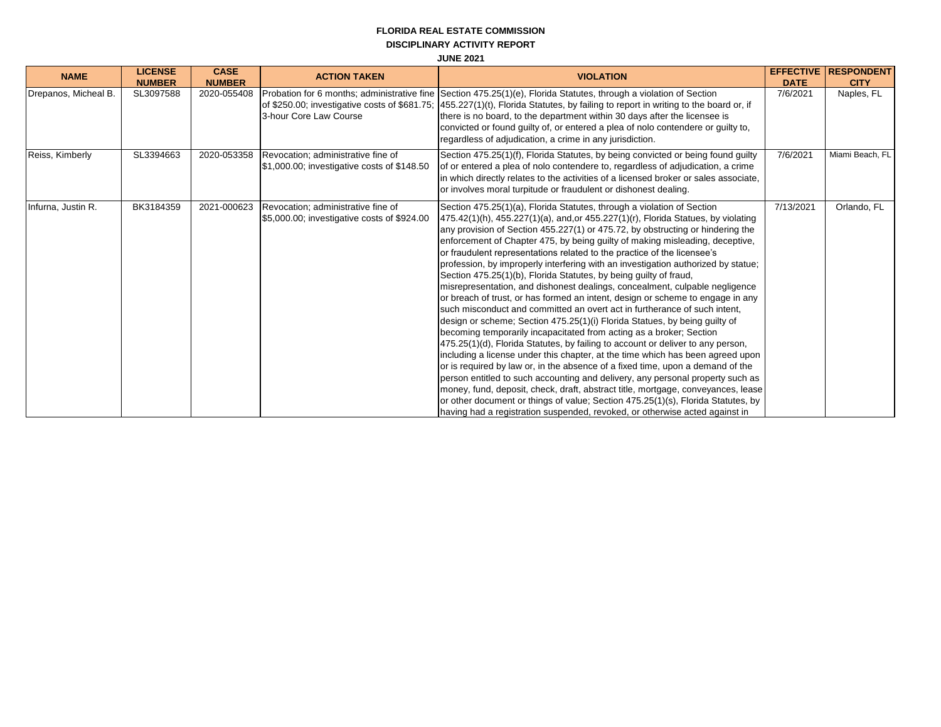# **FLORIDA REAL ESTATE COMMISSION**

**DISCIPLINARY ACTIVITY REPORT**

**JUNE 2021**

| <b>NAME</b>          | <b>LICENSE</b>             | <b>CASE</b>                  | <b>ACTION TAKEN</b>                                                               | <b>VIOLATION</b>                                                                                                                                                                                                                                                                                                                                                                                                                                                                                                                                                                                                                                                                                                                                                                                                                                                                                                                                                                                                                                                                                                                                                                                                                                                                                                                                                                                                                                                                                                                                                      |                         | <b>EFFECTIVE RESPONDENT</b> |
|----------------------|----------------------------|------------------------------|-----------------------------------------------------------------------------------|-----------------------------------------------------------------------------------------------------------------------------------------------------------------------------------------------------------------------------------------------------------------------------------------------------------------------------------------------------------------------------------------------------------------------------------------------------------------------------------------------------------------------------------------------------------------------------------------------------------------------------------------------------------------------------------------------------------------------------------------------------------------------------------------------------------------------------------------------------------------------------------------------------------------------------------------------------------------------------------------------------------------------------------------------------------------------------------------------------------------------------------------------------------------------------------------------------------------------------------------------------------------------------------------------------------------------------------------------------------------------------------------------------------------------------------------------------------------------------------------------------------------------------------------------------------------------|-------------------------|-----------------------------|
| Drepanos, Micheal B. | <b>NUMBER</b><br>SL3097588 | <b>NUMBER</b><br>2020-055408 | 3-hour Core Law Course                                                            | Probation for 6 months; administrative fine Section 475.25(1)(e), Florida Statutes, through a violation of Section<br>of \$250.00; investigative costs of \$681.75; 455.227(1)(t), Florida Statutes, by failing to report in writing to the board or, if<br>there is no board, to the department within 30 days after the licensee is<br>convicted or found guilty of, or entered a plea of nolo contendere or guilty to,<br>regardless of adjudication, a crime in any jurisdiction.                                                                                                                                                                                                                                                                                                                                                                                                                                                                                                                                                                                                                                                                                                                                                                                                                                                                                                                                                                                                                                                                                 | <b>DATE</b><br>7/6/2021 | <b>CITY</b><br>Naples, FL   |
| Reiss, Kimberly      | SL3394663                  | 2020-053358                  | Revocation; administrative fine of<br>\$1,000.00; investigative costs of \$148.50 | Section 475.25(1)(f), Florida Statutes, by being convicted or being found guilty<br>of or entered a plea of nolo contendere to, regardless of adjudication, a crime<br>in which directly relates to the activities of a licensed broker or sales associate,<br>or involves moral turpitude or fraudulent or dishonest dealing.                                                                                                                                                                                                                                                                                                                                                                                                                                                                                                                                                                                                                                                                                                                                                                                                                                                                                                                                                                                                                                                                                                                                                                                                                                        | 7/6/2021                | Miami Beach, FL             |
| Infurna, Justin R.   | BK3184359                  | 2021-000623                  | Revocation; administrative fine of<br>\$5,000.00; investigative costs of \$924.00 | Section 475.25(1)(a), Florida Statutes, through a violation of Section<br>475.42(1)(h), 455.227(1)(a), and, or 455.227(1)(r), Florida Statues, by violating<br>any provision of Section 455.227(1) or 475.72, by obstructing or hindering the<br>enforcement of Chapter 475, by being guilty of making misleading, deceptive,<br>or fraudulent representations related to the practice of the licensee's<br>profession, by improperly interfering with an investigation authorized by statue;<br>Section 475.25(1)(b), Florida Statutes, by being guilty of fraud,<br>misrepresentation, and dishonest dealings, concealment, culpable negligence<br>or breach of trust, or has formed an intent, design or scheme to engage in any<br>such misconduct and committed an overt act in furtherance of such intent.<br>design or scheme; Section 475.25(1)(i) Florida Statues, by being guilty of<br>becoming temporarily incapacitated from acting as a broker; Section<br>475.25(1)(d), Florida Statutes, by failing to account or deliver to any person,<br>including a license under this chapter, at the time which has been agreed upon<br>or is required by law or, in the absence of a fixed time, upon a demand of the<br>person entitled to such accounting and delivery, any personal property such as<br>money, fund, deposit, check, draft, abstract title, mortgage, conveyances, lease<br>or other document or things of value; Section 475.25(1)(s), Florida Statutes, by<br>having had a registration suspended, revoked, or otherwise acted against in | 7/13/2021               | Orlando, FL                 |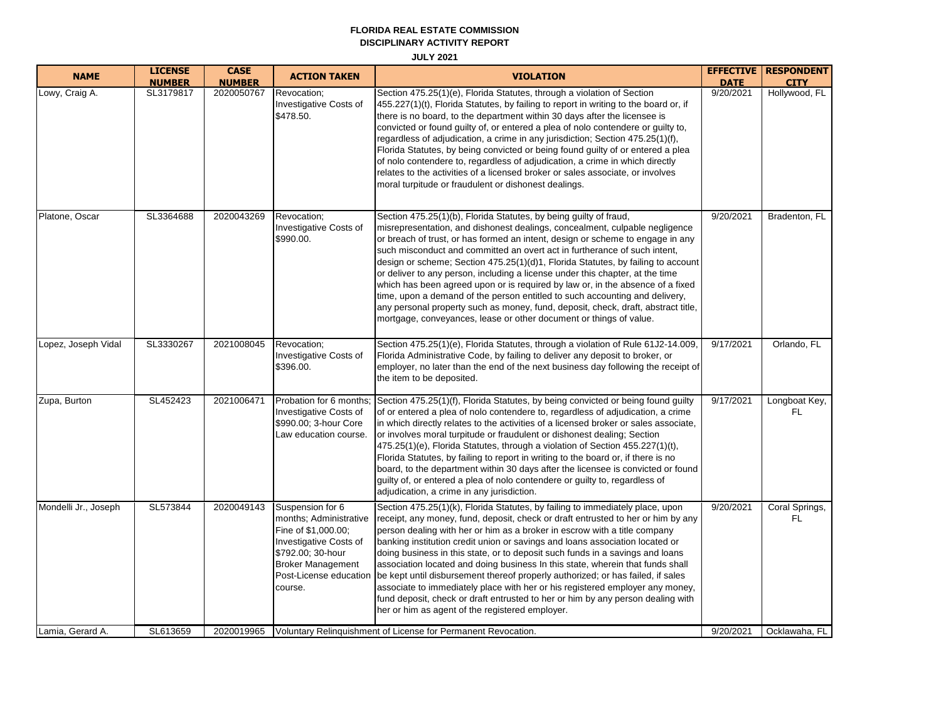#### **FLORIDA REAL ESTATE COMMISSION DISCIPLINARY ACTIVITY REPORT**

**JULY 2021**

| <b>NAME</b>          | <b>LICENSE</b> | <b>CASE</b>   | <b>ACTION TAKEN</b>                                                                                                                                     | <b>VIOLATION</b>                                                                                                                                                                                                                                                                                                                                                                                                                                                                                                                                                                                                                                                                                                                                                                                                                     |             | <b>EFFECTIVE   RESPONDENT</b> |
|----------------------|----------------|---------------|---------------------------------------------------------------------------------------------------------------------------------------------------------|--------------------------------------------------------------------------------------------------------------------------------------------------------------------------------------------------------------------------------------------------------------------------------------------------------------------------------------------------------------------------------------------------------------------------------------------------------------------------------------------------------------------------------------------------------------------------------------------------------------------------------------------------------------------------------------------------------------------------------------------------------------------------------------------------------------------------------------|-------------|-------------------------------|
|                      | <b>NUMBER</b>  | <b>NUMBER</b> |                                                                                                                                                         |                                                                                                                                                                                                                                                                                                                                                                                                                                                                                                                                                                                                                                                                                                                                                                                                                                      | <b>DATE</b> | <b>CITY</b>                   |
| Lowy, Craig A.       | SL3179817      | 2020050767    | Revocation;<br>Investigative Costs of<br>\$478.50.                                                                                                      | Section 475.25(1)(e), Florida Statutes, through a violation of Section<br>455.227(1)(t), Florida Statutes, by failing to report in writing to the board or, if<br>there is no board, to the department within 30 days after the licensee is<br>convicted or found guilty of, or entered a plea of nolo contendere or guilty to,<br>regardless of adjudication, a crime in any jurisdiction; Section 475.25(1)(f),<br>Florida Statutes, by being convicted or being found guilty of or entered a plea<br>of nolo contendere to, regardless of adjudication, a crime in which directly<br>relates to the activities of a licensed broker or sales associate, or involves<br>moral turpitude or fraudulent or dishonest dealings.                                                                                                       | 9/20/2021   | Hollywood, FL                 |
| Platone, Oscar       | SL3364688      | 2020043269    | Revocation;<br>Investigative Costs of<br>\$990.00.                                                                                                      | Section 475.25(1)(b), Florida Statutes, by being guilty of fraud,<br>misrepresentation, and dishonest dealings, concealment, culpable negligence<br>or breach of trust, or has formed an intent, design or scheme to engage in any<br>such misconduct and committed an overt act in furtherance of such intent,<br>design or scheme; Section 475.25(1)(d)1, Florida Statutes, by failing to account<br>or deliver to any person, including a license under this chapter, at the time<br>which has been agreed upon or is required by law or, in the absence of a fixed<br>time, upon a demand of the person entitled to such accounting and delivery,<br>any personal property such as money, fund, deposit, check, draft, abstract title,<br>mortgage, conveyances, lease or other document or things of value.                     | 9/20/2021   | Bradenton, FL                 |
| Lopez, Joseph Vidal  | SL3330267      | 2021008045    | Revocation;<br>Investigative Costs of<br>\$396.00.                                                                                                      | Section 475.25(1)(e), Florida Statutes, through a violation of Rule 61J2-14.009,<br>Florida Administrative Code, by failing to deliver any deposit to broker, or<br>employer, no later than the end of the next business day following the receipt of<br>the item to be deposited.                                                                                                                                                                                                                                                                                                                                                                                                                                                                                                                                                   | 9/17/2021   | Orlando, FL                   |
| Zupa, Burton         | SL452423       | 2021006471    | Investigative Costs of<br>\$990.00; 3-hour Core<br>Law education course.                                                                                | Probation for 6 months; Section 475.25(1)(f), Florida Statutes, by being convicted or being found guilty<br>of or entered a plea of nolo contendere to, regardless of adjudication, a crime<br>in which directly relates to the activities of a licensed broker or sales associate,<br>or involves moral turpitude or fraudulent or dishonest dealing; Section<br>475.25(1)(e), Florida Statutes, through a violation of Section 455.227(1)(t),<br>Florida Statutes, by failing to report in writing to the board or, if there is no<br>board, to the department within 30 days after the licensee is convicted or found<br>guilty of, or entered a plea of nolo contendere or guilty to, regardless of<br>adjudication, a crime in any jurisdiction.                                                                                | 9/17/2021   | Longboat Key,<br>FL           |
| Mondelli Jr., Joseph | SL573844       | 2020049143    | Suspension for 6<br>months; Administrative<br>Fine of \$1,000.00;<br>Investigative Costs of<br>\$792.00; 30-hour<br><b>Broker Management</b><br>course. | Section 475.25(1)(k), Florida Statutes, by failing to immediately place, upon<br>receipt, any money, fund, deposit, check or draft entrusted to her or him by any<br>person dealing with her or him as a broker in escrow with a title company<br>banking institution credit union or savings and loans association located or<br>doing business in this state, or to deposit such funds in a savings and loans<br>association located and doing business In this state, wherein that funds shall<br>Post-License education   be kept until disbursement thereof properly authorized; or has failed, if sales<br>associate to immediately place with her or his registered employer any money,<br>fund deposit, check or draft entrusted to her or him by any person dealing with<br>her or him as agent of the registered employer. | 9/20/2021   | Coral Springs,<br>FL          |
| Lamia, Gerard A.     | SL613659       |               |                                                                                                                                                         | 2020019965   Voluntary Relinguishment of License for Permanent Revocation.                                                                                                                                                                                                                                                                                                                                                                                                                                                                                                                                                                                                                                                                                                                                                           | 9/20/2021   | Ocklawaha, FL                 |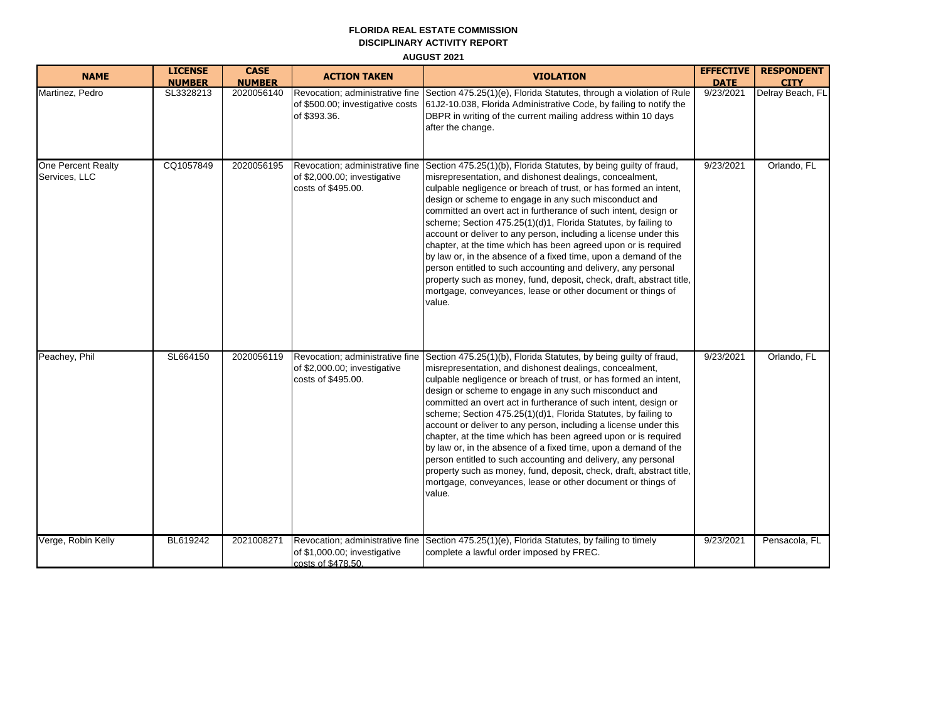## **FLORIDA REAL ESTATE COMMISSION DISCIPLINARY ACTIVITY REPORT AUGUST 2021**

| <b>NAME</b>                         | <b>LICENSE</b><br><b>NUMBER</b> | <b>CASE</b><br><b>NUMBER</b> | <b>ACTION TAKEN</b>                                                                   | <b>VIOLATION</b>                                                                                                                                                                                                                                                                                                                                                                                                                                                                                                                                                                                                                                                                                                                                                                                                          | <b>EFFECTIVE</b><br><b>DATE</b> | <b>RESPONDENT</b><br><b>CITY</b> |
|-------------------------------------|---------------------------------|------------------------------|---------------------------------------------------------------------------------------|---------------------------------------------------------------------------------------------------------------------------------------------------------------------------------------------------------------------------------------------------------------------------------------------------------------------------------------------------------------------------------------------------------------------------------------------------------------------------------------------------------------------------------------------------------------------------------------------------------------------------------------------------------------------------------------------------------------------------------------------------------------------------------------------------------------------------|---------------------------------|----------------------------------|
| Martinez, Pedro                     | SL3328213                       | 2020056140                   | Revocation; administrative fine<br>of \$500.00; investigative costs<br>of \$393.36.   | Section 475.25(1)(e), Florida Statutes, through a violation of Rule<br>61J2-10.038, Florida Administrative Code, by failing to notify the<br>DBPR in writing of the current mailing address within 10 days<br>after the change.                                                                                                                                                                                                                                                                                                                                                                                                                                                                                                                                                                                           | $\overline{9/23/2021}$          | Delray Beach, FL                 |
| One Percent Realty<br>Services, LLC | CQ1057849                       | 2020056195                   | Revocation; administrative fine<br>of \$2,000.00; investigative<br>costs of \$495.00. | Section 475.25(1)(b), Florida Statutes, by being guilty of fraud,<br>misrepresentation, and dishonest dealings, concealment,<br>culpable negligence or breach of trust, or has formed an intent,<br>design or scheme to engage in any such misconduct and<br>committed an overt act in furtherance of such intent, design or<br>scheme; Section 475.25(1)(d)1, Florida Statutes, by failing to<br>account or deliver to any person, including a license under this<br>chapter, at the time which has been agreed upon or is required<br>by law or, in the absence of a fixed time, upon a demand of the<br>person entitled to such accounting and delivery, any personal<br>property such as money, fund, deposit, check, draft, abstract title,<br>mortgage, conveyances, lease or other document or things of<br>value. | 9/23/2021                       | Orlando, FL                      |
| Peachey, Phil                       | SL664150                        | 2020056119                   | Revocation; administrative fine<br>of \$2,000.00; investigative<br>costs of \$495.00. | Section 475.25(1)(b), Florida Statutes, by being guilty of fraud,<br>misrepresentation, and dishonest dealings, concealment,<br>culpable negligence or breach of trust, or has formed an intent,<br>design or scheme to engage in any such misconduct and<br>committed an overt act in furtherance of such intent, design or<br>scheme; Section 475.25(1)(d)1, Florida Statutes, by failing to<br>account or deliver to any person, including a license under this<br>chapter, at the time which has been agreed upon or is required<br>by law or, in the absence of a fixed time, upon a demand of the<br>person entitled to such accounting and delivery, any personal<br>property such as money, fund, deposit, check, draft, abstract title,<br>mortgage, conveyances, lease or other document or things of<br>value. | 9/23/2021                       | Orlando, FL                      |
| Verge, Robin Kelly                  | BL619242                        | 2021008271                   | of \$1,000.00; investigative<br>costs of \$478.50.                                    | Revocation; administrative fine Section 475.25(1)(e), Florida Statutes, by failing to timely<br>complete a lawful order imposed by FREC.                                                                                                                                                                                                                                                                                                                                                                                                                                                                                                                                                                                                                                                                                  | 9/23/2021                       | Pensacola, FL                    |